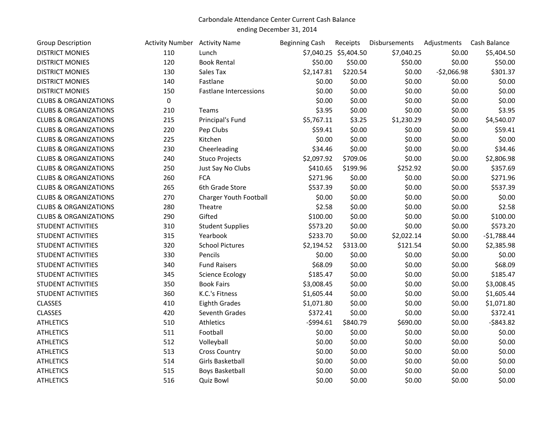## Carbondale Attendance Center Current Cash Balance

ending December 31, 2014

| <b>Group Description</b>         | <b>Activity Number</b> Activity Name |                               | <b>Beginning Cash</b> | Receipts              | Disbursements | Adjustments  | Cash Balance |
|----------------------------------|--------------------------------------|-------------------------------|-----------------------|-----------------------|---------------|--------------|--------------|
| <b>DISTRICT MONIES</b>           | 110                                  | Lunch                         |                       | \$7,040.25 \$5,404.50 | \$7,040.25    | \$0.00       | \$5,404.50   |
| <b>DISTRICT MONIES</b>           | 120                                  | <b>Book Rental</b>            | \$50.00               | \$50.00               | \$50.00       | \$0.00       | \$50.00      |
| <b>DISTRICT MONIES</b>           | 130                                  | Sales Tax                     | \$2,147.81            | \$220.54              | \$0.00        | $-52,066.98$ | \$301.37     |
| <b>DISTRICT MONIES</b>           | 140                                  | Fastlane                      | \$0.00                | \$0.00                | \$0.00        | \$0.00       | \$0.00       |
| <b>DISTRICT MONIES</b>           | 150                                  | <b>Fastlane Intercessions</b> | \$0.00                | \$0.00                | \$0.00        | \$0.00       | \$0.00       |
| <b>CLUBS &amp; ORGANIZATIONS</b> | 0                                    |                               | \$0.00                | \$0.00                | \$0.00        | \$0.00       | \$0.00       |
| <b>CLUBS &amp; ORGANIZATIONS</b> | 210                                  | Teams                         | \$3.95                | \$0.00                | \$0.00        | \$0.00       | \$3.95       |
| <b>CLUBS &amp; ORGANIZATIONS</b> | 215                                  | Principal's Fund              | \$5,767.11            | \$3.25                | \$1,230.29    | \$0.00       | \$4,540.07   |
| <b>CLUBS &amp; ORGANIZATIONS</b> | 220                                  | Pep Clubs                     | \$59.41               | \$0.00                | \$0.00        | \$0.00       | \$59.41      |
| <b>CLUBS &amp; ORGANIZATIONS</b> | 225                                  | Kitchen                       | \$0.00                | \$0.00                | \$0.00        | \$0.00       | \$0.00       |
| <b>CLUBS &amp; ORGANIZATIONS</b> | 230                                  | Cheerleading                  | \$34.46               | \$0.00                | \$0.00        | \$0.00       | \$34.46      |
| <b>CLUBS &amp; ORGANIZATIONS</b> | 240                                  | <b>Stuco Projects</b>         | \$2,097.92            | \$709.06              | \$0.00        | \$0.00       | \$2,806.98   |
| <b>CLUBS &amp; ORGANIZATIONS</b> | 250                                  | Just Say No Clubs             | \$410.65              | \$199.96              | \$252.92      | \$0.00       | \$357.69     |
| <b>CLUBS &amp; ORGANIZATIONS</b> | 260                                  | FCA                           | \$271.96              | \$0.00                | \$0.00        | \$0.00       | \$271.96     |
| <b>CLUBS &amp; ORGANIZATIONS</b> | 265                                  | 6th Grade Store               | \$537.39              | \$0.00                | \$0.00        | \$0.00       | \$537.39     |
| <b>CLUBS &amp; ORGANIZATIONS</b> | 270                                  | Charger Youth Football        | \$0.00                | \$0.00                | \$0.00        | \$0.00       | \$0.00       |
| <b>CLUBS &amp; ORGANIZATIONS</b> | 280                                  | Theatre                       | \$2.58                | \$0.00                | \$0.00        | \$0.00       | \$2.58       |
| <b>CLUBS &amp; ORGANIZATIONS</b> | 290                                  | Gifted                        | \$100.00              | \$0.00                | \$0.00        | \$0.00       | \$100.00     |
| <b>STUDENT ACTIVITIES</b>        | 310                                  | <b>Student Supplies</b>       | \$573.20              | \$0.00                | \$0.00        | \$0.00       | \$573.20     |
| <b>STUDENT ACTIVITIES</b>        | 315                                  | Yearbook                      | \$233.70              | \$0.00                | \$2,022.14    | \$0.00       | $-$1,788.44$ |
| <b>STUDENT ACTIVITIES</b>        | 320                                  | <b>School Pictures</b>        | \$2,194.52            | \$313.00              | \$121.54      | \$0.00       | \$2,385.98   |
| <b>STUDENT ACTIVITIES</b>        | 330                                  | Pencils                       | \$0.00                | \$0.00                | \$0.00        | \$0.00       | \$0.00       |
| <b>STUDENT ACTIVITIES</b>        | 340                                  | <b>Fund Raisers</b>           | \$68.09               | \$0.00                | \$0.00        | \$0.00       | \$68.09      |
| <b>STUDENT ACTIVITIES</b>        | 345                                  | <b>Science Ecology</b>        | \$185.47              | \$0.00                | \$0.00        | \$0.00       | \$185.47     |
| <b>STUDENT ACTIVITIES</b>        | 350                                  | <b>Book Fairs</b>             | \$3,008.45            | \$0.00                | \$0.00        | \$0.00       | \$3,008.45   |
| <b>STUDENT ACTIVITIES</b>        | 360                                  | K.C.'s Fitness                | \$1,605.44            | \$0.00                | \$0.00        | \$0.00       | \$1,605.44   |
| <b>CLASSES</b>                   | 410                                  | <b>Eighth Grades</b>          | \$1,071.80            | \$0.00                | \$0.00        | \$0.00       | \$1,071.80   |
| <b>CLASSES</b>                   | 420                                  | Seventh Grades                | \$372.41              | \$0.00                | \$0.00        | \$0.00       | \$372.41     |
| <b>ATHLETICS</b>                 | 510                                  | Athletics                     | $-5994.61$            | \$840.79              | \$690.00      | \$0.00       | $-$ \$843.82 |
| <b>ATHLETICS</b>                 | 511                                  | Football                      | \$0.00                | \$0.00                | \$0.00        | \$0.00       | \$0.00       |
| <b>ATHLETICS</b>                 | 512                                  | Volleyball                    | \$0.00                | \$0.00                | \$0.00        | \$0.00       | \$0.00       |
| <b>ATHLETICS</b>                 | 513                                  | <b>Cross Country</b>          | \$0.00                | \$0.00                | \$0.00        | \$0.00       | \$0.00       |
| <b>ATHLETICS</b>                 | 514                                  | Girls Basketball              | \$0.00                | \$0.00                | \$0.00        | \$0.00       | \$0.00       |
| <b>ATHLETICS</b>                 | 515                                  | <b>Boys Basketball</b>        | \$0.00                | \$0.00                | \$0.00        | \$0.00       | \$0.00       |
| <b>ATHLETICS</b>                 | 516                                  | <b>Quiz Bowl</b>              | \$0.00                | \$0.00                | \$0.00        | \$0.00       | \$0.00       |